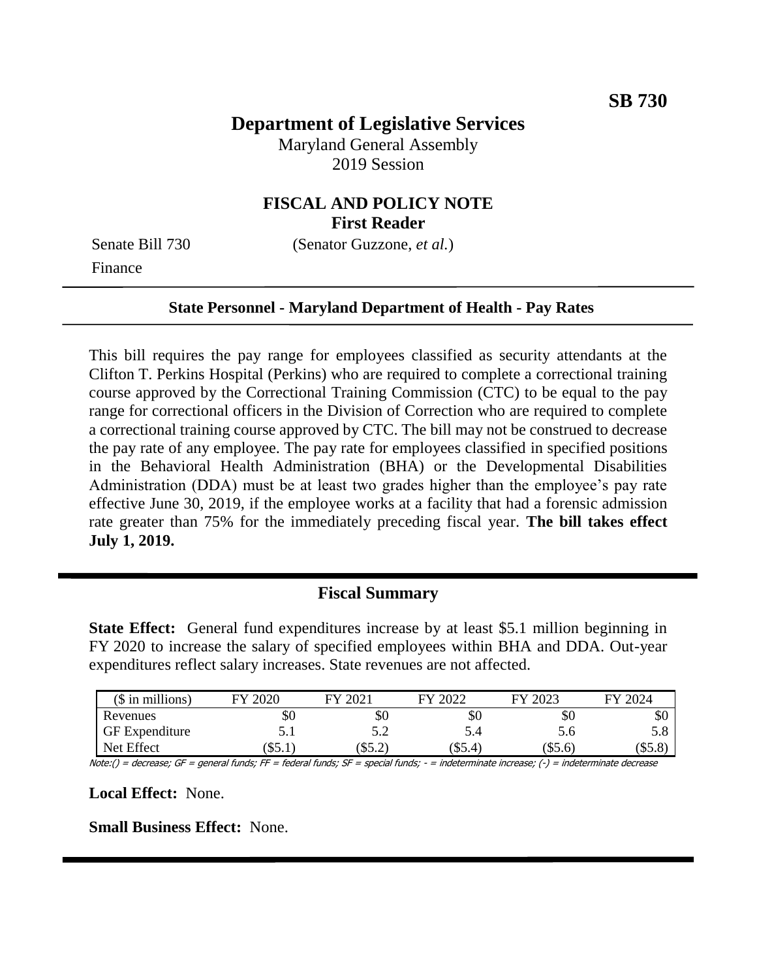# **Department of Legislative Services**

Maryland General Assembly 2019 Session

## **FISCAL AND POLICY NOTE First Reader**

Finance

Senate Bill 730 (Senator Guzzone, *et al.*)

#### **State Personnel - Maryland Department of Health - Pay Rates**

This bill requires the pay range for employees classified as security attendants at the Clifton T. Perkins Hospital (Perkins) who are required to complete a correctional training course approved by the Correctional Training Commission (CTC) to be equal to the pay range for correctional officers in the Division of Correction who are required to complete a correctional training course approved by CTC. The bill may not be construed to decrease the pay rate of any employee. The pay rate for employees classified in specified positions in the Behavioral Health Administration (BHA) or the Developmental Disabilities Administration (DDA) must be at least two grades higher than the employee's pay rate effective June 30, 2019, if the employee works at a facility that had a forensic admission rate greater than 75% for the immediately preceding fiscal year. **The bill takes effect July 1, 2019.** 

### **Fiscal Summary**

**State Effect:** General fund expenditures increase by at least \$5.1 million beginning in FY 2020 to increase the salary of specified employees within BHA and DDA. Out-year expenditures reflect salary increases. State revenues are not affected.

| (\$ in millions)      | 2020<br>FЛ | $\left(202\right)$<br>FУ | 12022<br>FУ | 2023<br>FУ | FY 2024 |
|-----------------------|------------|--------------------------|-------------|------------|---------|
| Revenues              | υU         | УU                       | УU          | УU         | υU      |
| <b>GF</b> Expenditure | J.I        | ے . د                    | 5.4         | 5.6        | J.O     |
| Net Effect            | 32.1       | 35.2                     | (\$5.4)     | (\$5.6)    | .കാ.റ   |

Note:() = decrease; GF = general funds; FF = federal funds; SF = special funds; - = indeterminate increase; (-) = indeterminate decrease

**Local Effect:** None.

**Small Business Effect:** None.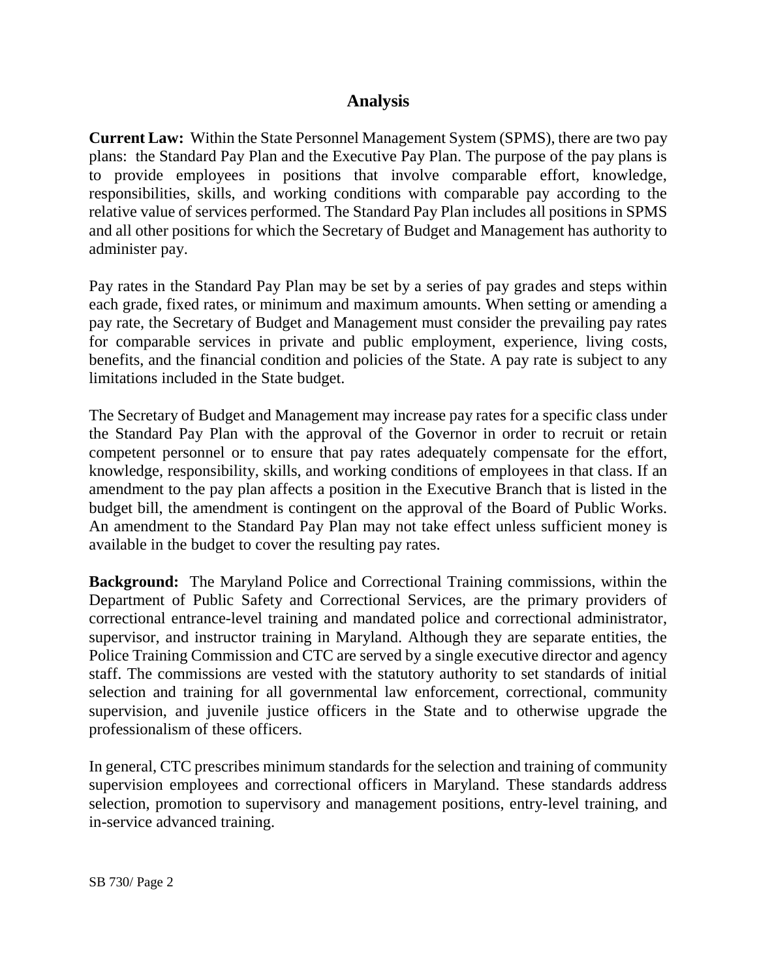## **Analysis**

**Current Law:** Within the State Personnel Management System (SPMS), there are two pay plans: the Standard Pay Plan and the Executive Pay Plan. The purpose of the pay plans is to provide employees in positions that involve comparable effort, knowledge, responsibilities, skills, and working conditions with comparable pay according to the relative value of services performed. The Standard Pay Plan includes all positions in SPMS and all other positions for which the Secretary of Budget and Management has authority to administer pay.

Pay rates in the Standard Pay Plan may be set by a series of pay grades and steps within each grade, fixed rates, or minimum and maximum amounts. When setting or amending a pay rate, the Secretary of Budget and Management must consider the prevailing pay rates for comparable services in private and public employment, experience, living costs, benefits, and the financial condition and policies of the State. A pay rate is subject to any limitations included in the State budget.

The Secretary of Budget and Management may increase pay rates for a specific class under the Standard Pay Plan with the approval of the Governor in order to recruit or retain competent personnel or to ensure that pay rates adequately compensate for the effort, knowledge, responsibility, skills, and working conditions of employees in that class. If an amendment to the pay plan affects a position in the Executive Branch that is listed in the budget bill, the amendment is contingent on the approval of the Board of Public Works. An amendment to the Standard Pay Plan may not take effect unless sufficient money is available in the budget to cover the resulting pay rates.

**Background:** The Maryland Police and Correctional Training commissions, within the Department of Public Safety and Correctional Services, are the primary providers of correctional entrance-level training and mandated police and correctional administrator, supervisor, and instructor training in Maryland. Although they are separate entities, the Police Training Commission and CTC are served by a single executive director and agency staff. The commissions are vested with the statutory authority to set standards of initial selection and training for all governmental law enforcement, correctional, community supervision, and juvenile justice officers in the State and to otherwise upgrade the professionalism of these officers.

In general, CTC prescribes minimum standards for the selection and training of community supervision employees and correctional officers in Maryland. These standards address selection, promotion to supervisory and management positions, entry-level training, and in-service advanced training.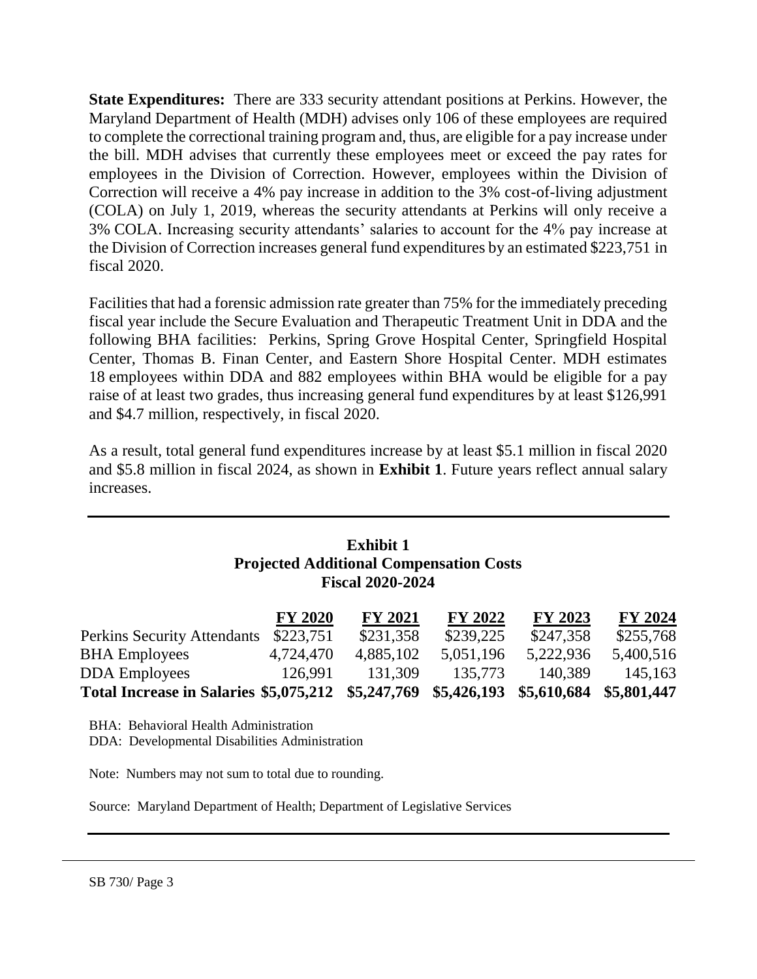**State Expenditures:** There are 333 security attendant positions at Perkins. However, the Maryland Department of Health (MDH) advises only 106 of these employees are required to complete the correctional training program and, thus, are eligible for a pay increase under the bill. MDH advises that currently these employees meet or exceed the pay rates for employees in the Division of Correction. However, employees within the Division of Correction will receive a 4% pay increase in addition to the 3% cost-of-living adjustment (COLA) on July 1, 2019, whereas the security attendants at Perkins will only receive a 3% COLA. Increasing security attendants' salaries to account for the 4% pay increase at the Division of Correction increases general fund expenditures by an estimated \$223,751 in fiscal 2020.

Facilities that had a forensic admission rate greater than 75% for the immediately preceding fiscal year include the Secure Evaluation and Therapeutic Treatment Unit in DDA and the following BHA facilities: Perkins, Spring Grove Hospital Center, Springfield Hospital Center, Thomas B. Finan Center, and Eastern Shore Hospital Center. MDH estimates 18 employees within DDA and 882 employees within BHA would be eligible for a pay raise of at least two grades, thus increasing general fund expenditures by at least \$126,991 and \$4.7 million, respectively, in fiscal 2020.

As a result, total general fund expenditures increase by at least \$5.1 million in fiscal 2020 and \$5.8 million in fiscal 2024, as shown in **Exhibit 1**. Future years reflect annual salary increases.

## **Exhibit 1 Projected Additional Compensation Costs Fiscal 2020-2024**

|                                                                            | <b>FY 2020</b> | <b>FY 2021</b> | <b>FY 2022</b> | FY 2023   | <b>FY 2024</b> |
|----------------------------------------------------------------------------|----------------|----------------|----------------|-----------|----------------|
| <b>Perkins Security Attendants</b>                                         | \$223,751      | \$231,358      | \$239,225      | \$247,358 | \$255,768      |
| <b>BHA Employees</b>                                                       | 4,724,470      | 4,885,102      | 5,051,196      | 5,222,936 | 5,400,516      |
| <b>DDA</b> Employees                                                       | 126.991        | 131.309        | 135,773        | 140.389   | 145,163        |
| Total Increase in Salaries \$5,075,212 \$5,247,769 \$5,426,193 \$5,610,684 |                |                |                |           | \$5,801,447    |

BHA: Behavioral Health Administration DDA: Developmental Disabilities Administration

Note: Numbers may not sum to total due to rounding.

Source: Maryland Department of Health; Department of Legislative Services